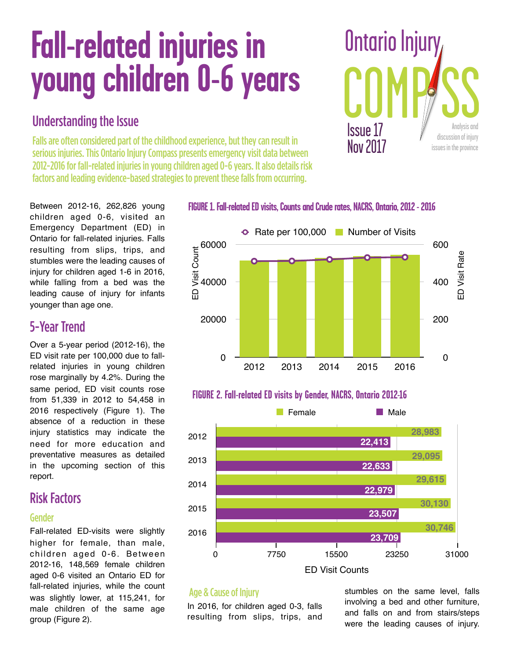# **Fall-related injuries in young children 0-6 years**

# Understanding the Issue

Falls are often considered part of the childhood experience, but they can result in serious injuries. This Ontario Injury Compass presents emergency visit data between 2012-2016 for fall-related injuries in young children aged 0-6 years. It also details risk factors and leading evidence-based strategies to prevent these falls from occurring.

Between 2012-16, 262,826 young children aged 0-6, visited an Emergency Department (ED) in Ontario for fall-related injuries. Falls resulting from slips, trips, and stumbles were the leading causes of injury for children aged 1-6 in 2016, while falling from a bed was the leading cause of injury for infants younger than age one.

## 5-Year Trend

Over a 5-year period (2012-16), the ED visit rate per 100,000 due to fallrelated injuries in young children rose marginally by 4.2%. During the same period, ED visit counts rose from 51,339 in 2012 to 54,458 in 2016 respectively (Figure 1). The absence of a reduction in these injury statistics may indicate the need for more education and preventative measures as detailed in the upcoming section of this report.

# Risk Factors

### Gender

Fall-related ED-visits were slightly higher for female, than male, children aged 0-6. Between 2012-16, 148,569 female children aged 0-6 visited an Ontario ED for fall-related injuries, while the count was slightly lower, at 115,241, for male children of the same age group (Figure 2).

## **FIGURE 1. Fall-related ED visits, Counts and Crude rates, NACRS, Ontario, 2012 - 2016**



## **FIGURE 2. Fall-related ED visits by Gender, NACRS, Ontario 2012-16**



## Age & Cause of Injury

In 2016, for children aged 0-3, falls resulting from slips, trips, and

stumbles on the same level, falls involving a bed and other furniture, and falls on and from stairs/steps were the leading causes of injury.